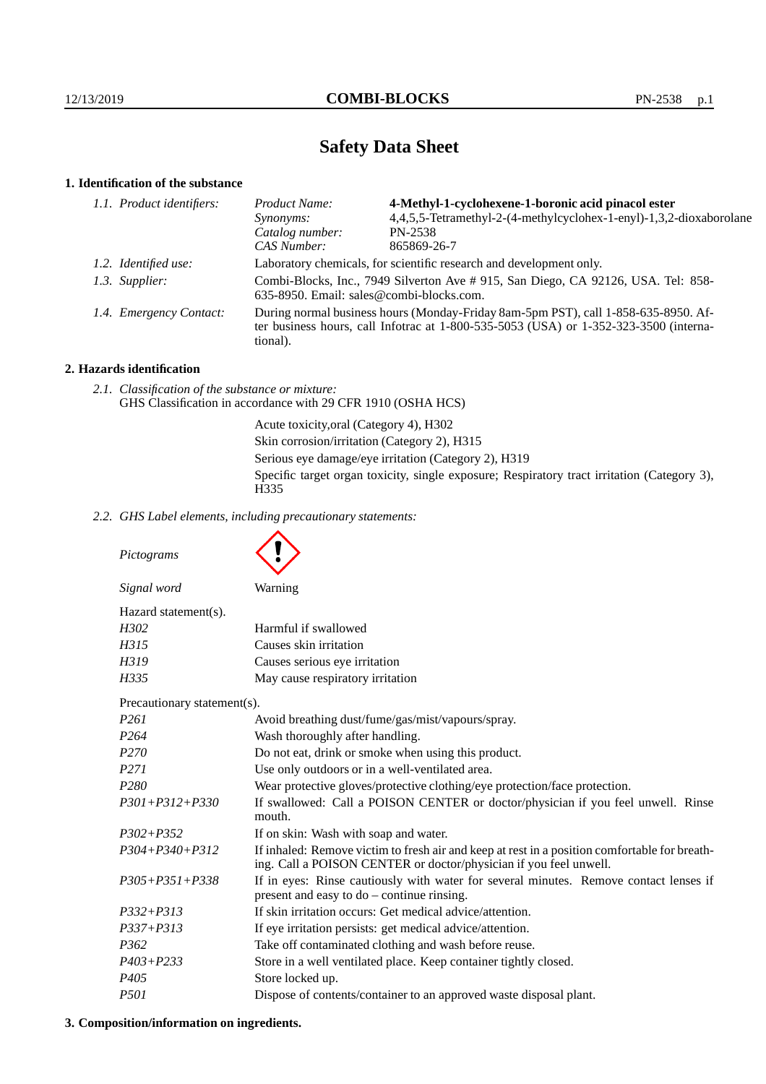# **Safety Data Sheet**

# **1. Identification of the substance**

| 1.1. Product identifiers: |                         | <i>Product Name:</i>                                                                                                                                                                    | 4-Methyl-1-cyclohexene-1-boronic acid pinacol ester                 |  |  |
|---------------------------|-------------------------|-----------------------------------------------------------------------------------------------------------------------------------------------------------------------------------------|---------------------------------------------------------------------|--|--|
|                           |                         | <i>Synonyms:</i>                                                                                                                                                                        | 4,4,5,5-Tetramethyl-2-(4-methylcyclohex-1-enyl)-1,3,2-dioxaborolane |  |  |
|                           |                         | Catalog number:                                                                                                                                                                         | PN-2538                                                             |  |  |
|                           |                         | CAS Number:                                                                                                                                                                             | 865869-26-7                                                         |  |  |
|                           | 1.2. Identified use:    | Laboratory chemicals, for scientific research and development only.                                                                                                                     |                                                                     |  |  |
|                           | 1.3. Supplier:          | Combi-Blocks, Inc., 7949 Silverton Ave # 915, San Diego, CA 92126, USA. Tel: 858-<br>635-8950. Email: sales@combi-blocks.com.                                                           |                                                                     |  |  |
|                           | 1.4. Emergency Contact: | During normal business hours (Monday-Friday 8am-5pm PST), call 1-858-635-8950. Af-<br>ter business hours, call Infotrac at 1-800-535-5053 (USA) or 1-352-323-3500 (interna-<br>tional). |                                                                     |  |  |
|                           |                         |                                                                                                                                                                                         |                                                                     |  |  |

# **2. Hazards identification**

*2.1. Classification of the substance or mixture:* GHS Classification in accordance with 29 CFR 1910 (OSHA HCS)

> Acute toxicity,oral (Category 4), H302 Skin corrosion/irritation (Category 2), H315 Serious eye damage/eye irritation (Category 2), H319 Specific target organ toxicity, single exposure; Respiratory tract irritation (Category 3), H<sub>335</sub>

*2.2. GHS Label elements, including precautionary statements:*

*Pictograms Signal word* Warning Hazard statement(s). *H302* Harmful if swallowed *H315* Causes skin irritation *H319* Causes serious eye irritation *H335* May cause respiratory irritation Precautionary statement(s). *P261* Avoid breathing dust/fume/gas/mist/vapours/spray. *P264* Wash thoroughly after handling. *P270* Do not eat, drink or smoke when using this product. *P271* Use only outdoors or in a well-ventilated area. *P280* Wear protective gloves/protective clothing/eye protection/face protection. *P301+P312+P330* If swallowed: Call a POISON CENTER or doctor/physician if you feel unwell. Rinse mouth. *P302+P352* If on skin: Wash with soap and water. *P304+P340+P312* If inhaled: Remove victim to fresh air and keep at rest in a position comfortable for breathing. Call a POISON CENTER or doctor/physician if you feel unwell. *P305+P351+P338* If in eyes: Rinse cautiously with water for several minutes. Remove contact lenses if present and easy to do – continue rinsing. *P332+P313* If skin irritation occurs: Get medical advice/attention. *P337+P313* If eye irritation persists: get medical advice/attention. *P362* Take off contaminated clothing and wash before reuse. *P403+P233* Store in a well ventilated place. Keep container tightly closed. *P405* Store locked up. *P501* Dispose of contents/container to an approved waste disposal plant.

### **3. Composition/information on ingredients.**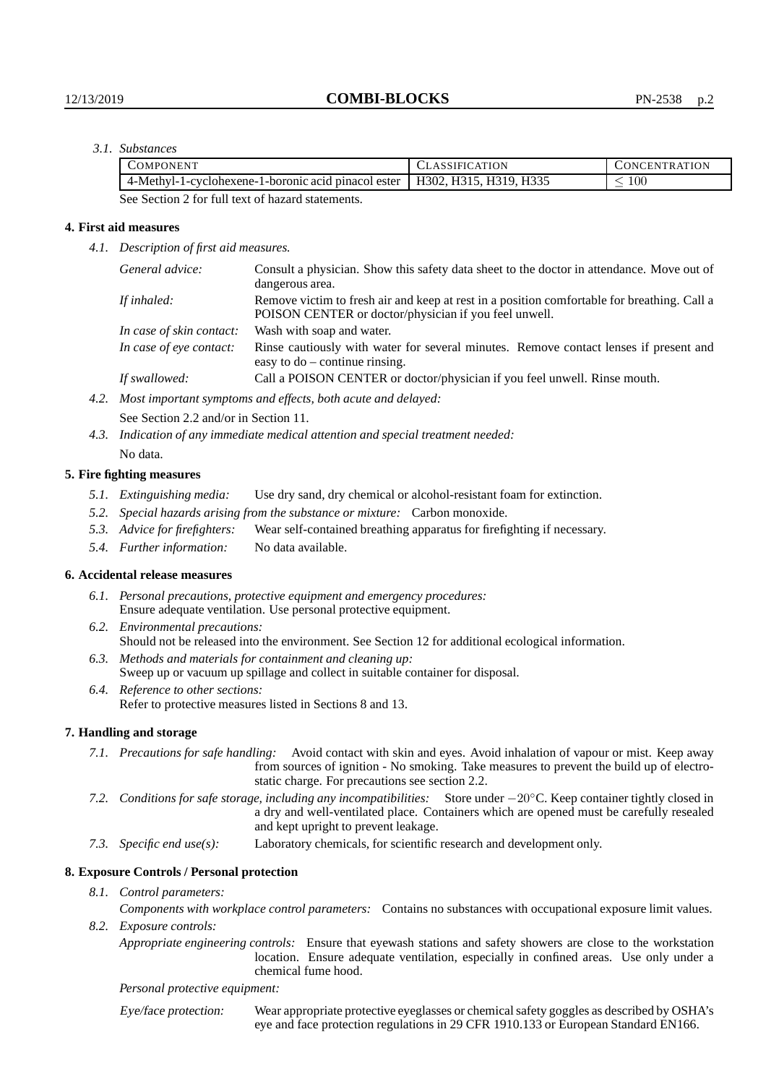# *3.1. Substances*

| COMPONENT                                                                    | CLASSIFICATION | CONCENTRATION |
|------------------------------------------------------------------------------|----------------|---------------|
| 4-Methyl-1-cyclohexene-1-boronic acid pinacol ester   H302, H315, H319, H335 |                | $100\,$       |
| _____<br>- - - -                                                             |                |               |

See Section 2 for full text of hazard statements.

### **4. First aid measures**

*4.1. Description of first aid measures.*

|                                                       | General advice:                                                   | Consult a physician. Show this safety data sheet to the doctor in attendance. Move out of<br>dangerous area.                                         |  |
|-------------------------------------------------------|-------------------------------------------------------------------|------------------------------------------------------------------------------------------------------------------------------------------------------|--|
|                                                       | If inhaled:                                                       | Remove victim to fresh air and keep at rest in a position comfortable for breathing. Call a<br>POISON CENTER or doctor/physician if you feel unwell. |  |
| Wash with soap and water.<br>In case of skin contact: |                                                                   |                                                                                                                                                      |  |
|                                                       | In case of eye contact:                                           | Rinse cautiously with water for several minutes. Remove contact lenses if present and<br>easy to $do$ – continue rinsing.                            |  |
|                                                       | If swallowed:                                                     | Call a POISON CENTER or doctor/physician if you feel unwell. Rinse mouth.                                                                            |  |
|                                                       | 4.2. Most important symptoms and effects, both acute and delayed: |                                                                                                                                                      |  |

See Section 2.2 and/or in Section 11.

*4.3. Indication of any immediate medical attention and special treatment needed:* No data.

#### **5. Fire fighting measures**

- *5.1. Extinguishing media:* Use dry sand, dry chemical or alcohol-resistant foam for extinction.
- *5.2. Special hazards arising from the substance or mixture:* Carbon monoxide.
- *5.3. Advice for firefighters:* Wear self-contained breathing apparatus for firefighting if necessary.
- *5.4. Further information:* No data available.

### **6. Accidental release measures**

- *6.1. Personal precautions, protective equipment and emergency procedures:* Ensure adequate ventilation. Use personal protective equipment.
- *6.2. Environmental precautions:* Should not be released into the environment. See Section 12 for additional ecological information.
- *6.3. Methods and materials for containment and cleaning up:* Sweep up or vacuum up spillage and collect in suitable container for disposal.
- *6.4. Reference to other sections:* Refer to protective measures listed in Sections 8 and 13.

### **7. Handling and storage**

- *7.1. Precautions for safe handling:* Avoid contact with skin and eyes. Avoid inhalation of vapour or mist. Keep away from sources of ignition - No smoking. Take measures to prevent the build up of electrostatic charge. For precautions see section 2.2.
- *7.2. Conditions for safe storage, including any incompatibilities:* Store under −20◦C. Keep container tightly closed in a dry and well-ventilated place. Containers which are opened must be carefully resealed and kept upright to prevent leakage.
- *7.3. Specific end use(s):* Laboratory chemicals, for scientific research and development only.

### **8. Exposure Controls / Personal protection**

*8.1. Control parameters:*

*Components with workplace control parameters:* Contains no substances with occupational exposure limit values. *8.2. Exposure controls:*

*Appropriate engineering controls:* Ensure that eyewash stations and safety showers are close to the workstation location. Ensure adequate ventilation, especially in confined areas. Use only under a chemical fume hood.

#### *Personal protective equipment:*

Eye/face protection: Wear appropriate protective eyeglasses or chemical safety goggles as described by OSHA's eye and face protection regulations in 29 CFR 1910.133 or European Standard EN166.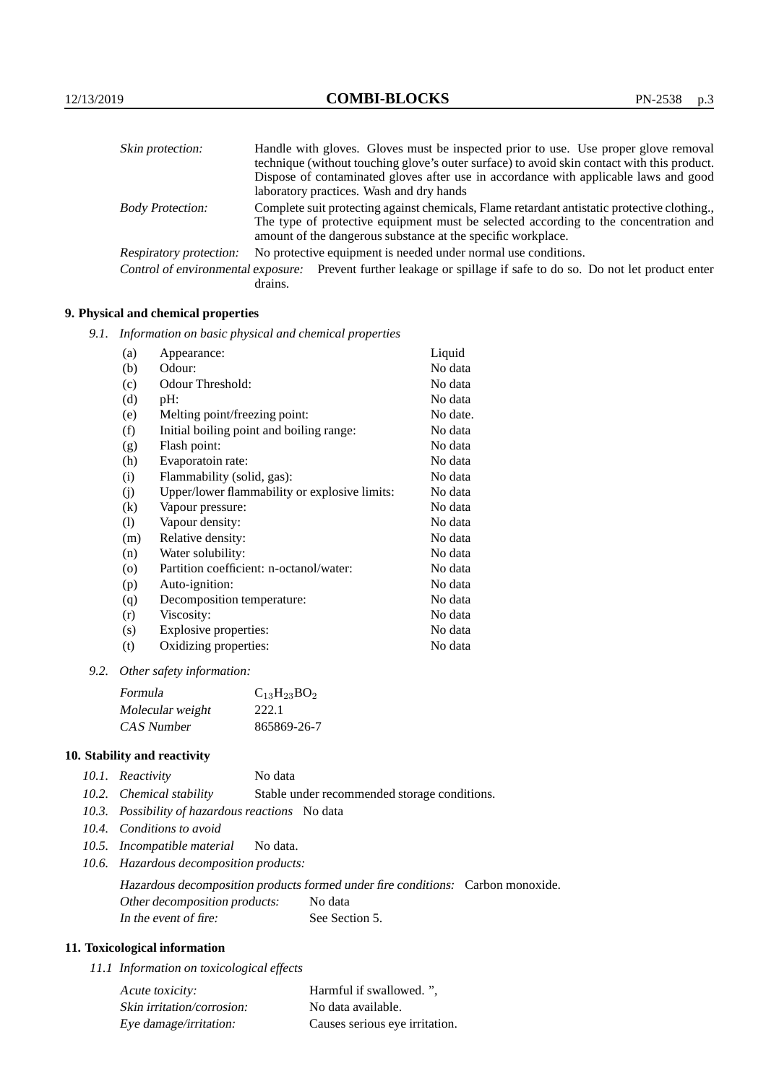| Skin protection:                   | Handle with gloves. Gloves must be inspected prior to use. Use proper glove removal                                                                  |
|------------------------------------|------------------------------------------------------------------------------------------------------------------------------------------------------|
|                                    | technique (without touching glove's outer surface) to avoid skin contact with this product.                                                          |
|                                    | Dispose of contaminated gloves after use in accordance with applicable laws and good                                                                 |
|                                    | laboratory practices. Wash and dry hands                                                                                                             |
| <b>Body Protection:</b>            | Complete suit protecting against chemicals, Flame retardant antistatic protective clothing.                                                          |
|                                    | The type of protective equipment must be selected according to the concentration and<br>amount of the dangerous substance at the specific workplace. |
| <b>Respiratory protection:</b>     | No protective equipment is needed under normal use conditions.                                                                                       |
| Control of environmental exposure: | Prevent further leakage or spillage if safe to do so. Do not let product enter<br>drains.                                                            |

# **9. Physical and chemical properties**

*9.1. Information on basic physical and chemical properties*

| (a)               | Appearance:                                   | Liquid   |
|-------------------|-----------------------------------------------|----------|
| (b)               | Odour:                                        | No data  |
| (c)               | Odour Threshold:                              | No data  |
| (d)               | pH:                                           | No data  |
| (e)               | Melting point/freezing point:                 | No date. |
| (f)               | Initial boiling point and boiling range:      | No data  |
| (g)               | Flash point:                                  | No data  |
| (h)               | Evaporatoin rate:                             | No data  |
| (i)               | Flammability (solid, gas):                    | No data  |
| (j)               | Upper/lower flammability or explosive limits: | No data  |
| $\left( k\right)$ | Vapour pressure:                              | No data  |
| (1)               | Vapour density:                               | No data  |
| (m)               | Relative density:                             | No data  |
| (n)               | Water solubility:                             | No data  |
| $\circ$           | Partition coefficient: n-octanol/water:       | No data  |
| (p)               | Auto-ignition:                                | No data  |
| (q)               | Decomposition temperature:                    | No data  |
| (r)               | Viscosity:                                    | No data  |
| (s)               | Explosive properties:                         | No data  |
| (t)               | Oxidizing properties:                         | No data  |

*9.2. Other safety information:*

| Formula          | $C_{13}H_{23}BO_2$ |
|------------------|--------------------|
| Molecular weight | 222.1              |
| CAS Number       | 865869-26-7        |

# **10. Stability and reactivity**

| 10.1. Reactivity | No data |
|------------------|---------|
|------------------|---------|

- *10.2. Chemical stability* Stable under recommended storage conditions.
- *10.3. Possibility of hazardous reactions* No data
- *10.4. Conditions to avoid*
- *10.5. Incompatible material* No data.
- *10.6. Hazardous decomposition products:*

Hazardous decomposition products formed under fire conditions: Carbon monoxide. Other decomposition products: No data In the event of fire: See Section 5.

# **11. Toxicological information**

*11.1 Information on toxicological effects*

| Acute toxicity:            | Harmful if swallowed.",        |
|----------------------------|--------------------------------|
| Skin irritation/corrosion: | No data available.             |
| Eye damage/irritation:     | Causes serious eye irritation. |